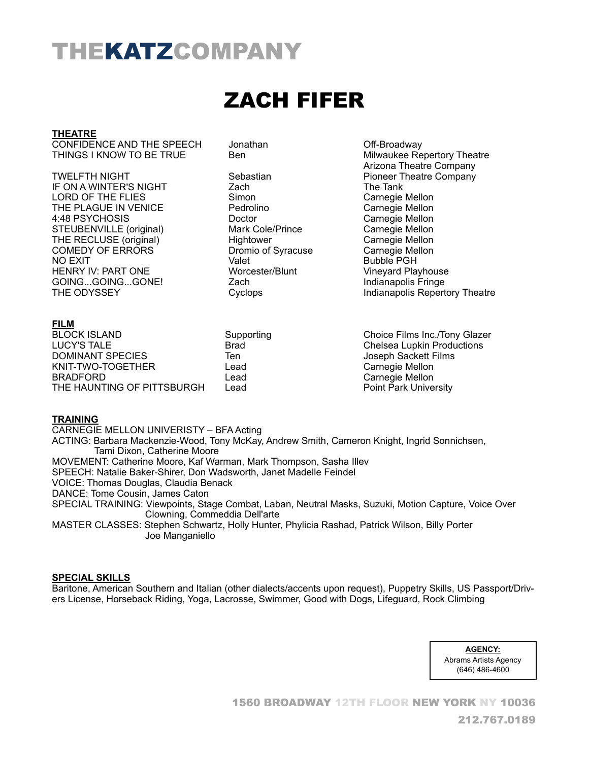# THEKATZCOMPANY

### ZACH FIFER

#### **THEATRE**

CONFIDENCE AND THE SPEECH Jonathan Off-Broadway THINGS I KNOW TO BE TRUE Ben Ben Milwaukee Repertory Theatre

IF ON A WINTER'S NIGHT Zach The Tank LORD OF THE FLIES Simon Carnegie Mellon THE PLAGUE IN VENICE 4:48 PSYCHOSIS Doctor Carnegie Mellon STEUBENVILLE (original) Mark Cole/Prince Carnegie Mellon THE RECLUSE (original) COMEDY OF ERRORS **Dromio of Syracuse** Carnegie Mellon NO EXIT Valet Bubble PGH HENRY IV: PART ONE GOING...GOING...GONE! Zach Indianapolis Fringe THE ODYSSEY Cyclops Cyclops Indianapolis Repertory Theatre

**FILM**

| <b>BLOCK ISLAND</b>        | Sup |
|----------------------------|-----|
| LUCY'S TALE                | Bra |
| DOMINANT SPECIES           | Ten |
| KNIT-TWO-TOGETHER          | Lea |
| BRADFORD                   | Lea |
| THE HAUNTING OF PITTSBURGH | Lea |

 Arizona Theatre Company Sebastian Pioneer Theatre Company<br>
The Tank<br>
The Tank

> buting and Supporting Choice Films Inc./Tony Glazer d Chelsea Lupkin Productions ا<br>Doseph Sackett Films<br>Carnegie Mellon Carnegie Mellon **Radio Lead Carnegie Mellon** ad **THE HAUNTING Point Park University**

#### **TRAINING**

CARNEGIE MELLON UNIVERISTY – BFA Acting ACTING: Barbara Mackenzie-Wood, Tony McKay, Andrew Smith, Cameron Knight, Ingrid Sonnichsen, Tami Dixon, Catherine Moore MOVEMENT: Catherine Moore, Kaf Warman, Mark Thompson, Sasha Illev SPEECH: Natalie Baker-Shirer, Don Wadsworth, Janet Madelle Feindel VOICE: Thomas Douglas, Claudia Benack DANCE: Tome Cousin, James Caton SPECIAL TRAINING: Viewpoints, Stage Combat, Laban, Neutral Masks, Suzuki, Motion Capture, Voice Over Clowning, Commeddia Dell'arte MASTER CLASSES: Stephen Schwartz, Holly Hunter, Phylicia Rashad, Patrick Wilson, Billy Porter Joe Manganiello

#### **SPECIAL SKILLS**

Baritone, American Southern and Italian (other dialects/accents upon request), Puppetry Skills, US Passport/Drivers License, Horseback Riding, Yoga, Lacrosse, Swimmer, Good with Dogs, Lifeguard, Rock Climbing

> **AGENCY:**  Abrams Artists Agency (646) 486-4600

 1560 BROADWAY 12TH FLOOR NEW YORK NY 10036 212.767.0189